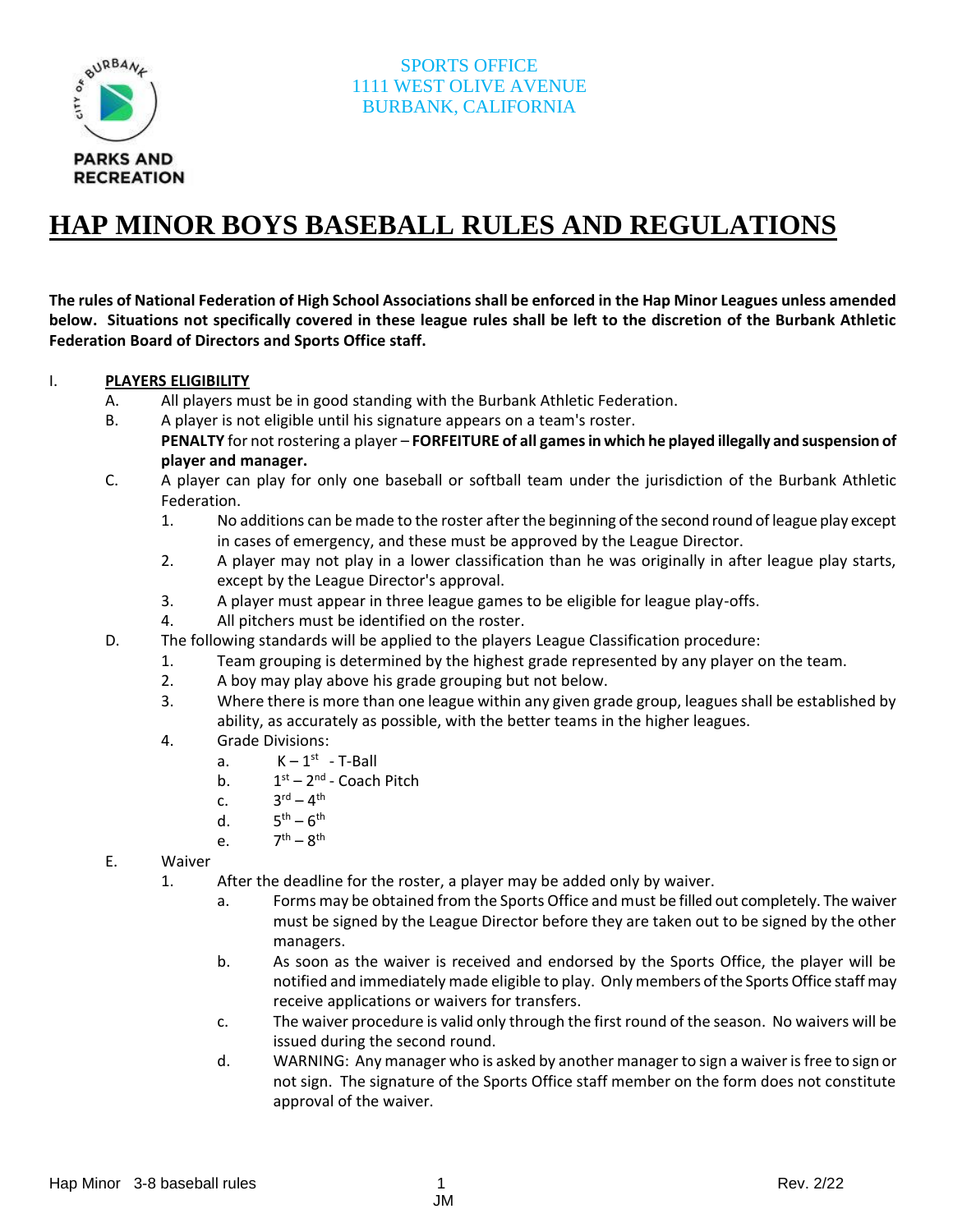

# **HAP MINOR BOYS BASEBALL RULES AND REGULATIONS**

**The rules of National Federation of High School Associations shall be enforced in the Hap Minor Leagues unless amended below. Situations not specifically covered in these league rules shall be left to the discretion of the Burbank Athletic Federation Board of Directors and Sports Office staff.**

#### I. **PLAYERS ELIGIBILITY**

- A. All players must be in good standing with the Burbank Athletic Federation.
- B. A player is not eligible until his signature appears on a team's roster.
	- **PENALTY** for not rostering a player **FORFEITURE of all games in which he played illegally and suspension of player and manager.**
- C. A player can play for only one baseball or softball team under the jurisdiction of the Burbank Athletic Federation.
	- 1. No additions can be made to the roster after the beginning of the second round of league play except in cases of emergency, and these must be approved by the League Director.
	- 2. A player may not play in a lower classification than he was originally in after league play starts, except by the League Director's approval.
	- 3. A player must appear in three league games to be eligible for league play-offs.
	- 4. All pitchers must be identified on the roster.
- D. The following standards will be applied to the players League Classification procedure:
	- 1. Team grouping is determined by the highest grade represented by any player on the team.
		- 2. A boy may play above his grade grouping but not below.
		- 3. Where there is more than one league within any given grade group, leagues shall be established by ability, as accurately as possible, with the better teams in the higher leagues.
		- 4. Grade Divisions:
			- a.  $K-1^{st}$  T-Ball
			- $b<sub>1</sub>$ <sup>st</sup> – 2<sup>nd</sup> - Coach Pitch
			- $C<sub>1</sub>$  $\mathsf{r}^{\mathsf{d}}$  –  $\mathsf{4}^{\mathsf{th}}$
			- $d.$  $\text{th}$  –  $6^{\text{th}}$
			- e.  $\text{th} - 8^{\text{th}}$
- E. Waiver
	- 1. After the deadline for the roster, a player may be added only by waiver.
		- a. Forms may be obtained from the Sports Office and must be filled out completely. The waiver must be signed by the League Director before they are taken out to be signed by the other managers.
		- b. As soon as the waiver is received and endorsed by the Sports Office, the player will be notified and immediately made eligible to play. Only members of the Sports Office staff may receive applications or waivers for transfers.
		- c. The waiver procedure is valid only through the first round of the season. No waivers will be issued during the second round.
		- d. WARNING: Any manager who is asked by another manager to sign a waiver is free to sign or not sign. The signature of the Sports Office staff member on the form does not constitute approval of the waiver.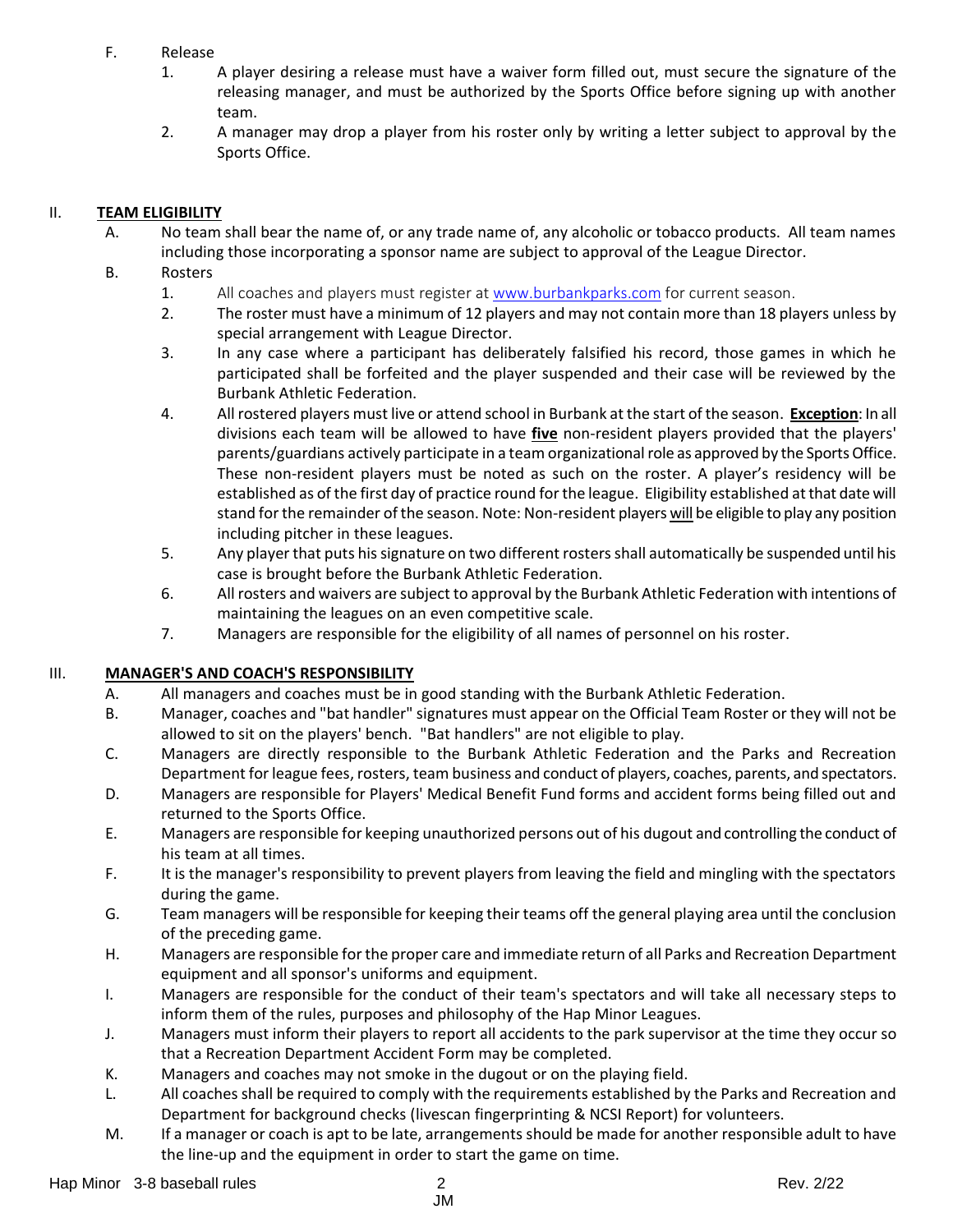#### F. Release

- 1. A player desiring a release must have a waiver form filled out, must secure the signature of the releasing manager, and must be authorized by the Sports Office before signing up with another team.
- 2. A manager may drop a player from his roster only by writing a letter subject to approval by the Sports Office.

## II. **TEAM ELIGIBILITY**

- A. No team shall bear the name of, or any trade name of, any alcoholic or tobacco products. All team names including those incorporating a sponsor name are subject to approval of the League Director.
- B. Rosters
	- 1. All coaches and players must register at [www.burbankparks.com](http://www.burbankparks.com/) for current season.
	- 2. The roster must have a minimum of 12 players and may not contain more than 18 players unless by special arrangement with League Director.
	- 3. In any case where a participant has deliberately falsified his record, those games in which he participated shall be forfeited and the player suspended and their case will be reviewed by the Burbank Athletic Federation.
	- 4. All rostered players must live or attend school in Burbank at the start of the season. **Exception**: In all divisions each team will be allowed to have **five** non-resident players provided that the players' parents/guardians actively participate in a team organizational role as approved by the Sports Office. These non-resident players must be noted as such on the roster. A player's residency will be established as of the first day of practice round for the league. Eligibility established at that date will stand for the remainder of the season. Note: Non-resident players will be eligible to play any position including pitcher in these leagues.
	- 5. Any player that puts his signature on two different rosters shall automatically be suspended until his case is brought before the Burbank Athletic Federation.
	- 6. All rosters and waivers are subject to approval by the Burbank Athletic Federation with intentions of maintaining the leagues on an even competitive scale.
	- 7. Managers are responsible for the eligibility of all names of personnel on his roster.

## III. **MANAGER'S AND COACH'S RESPONSIBILITY**

- A. All managers and coaches must be in good standing with the Burbank Athletic Federation.
- B. Manager, coaches and "bat handler" signatures must appear on the Official Team Roster or they will not be allowed to sit on the players' bench. "Bat handlers" are not eligible to play.
- C. Managers are directly responsible to the Burbank Athletic Federation and the Parks and Recreation Department for league fees, rosters, team business and conduct of players, coaches, parents, and spectators.
- D. Managers are responsible for Players' Medical Benefit Fund forms and accident forms being filled out and returned to the Sports Office.
- E. Managers are responsible for keeping unauthorized persons out of his dugout and controlling the conduct of his team at all times.
- F. It is the manager's responsibility to prevent players from leaving the field and mingling with the spectators during the game.
- G. Team managers will be responsible for keeping their teams off the general playing area until the conclusion of the preceding game.
- H. Managers are responsible for the proper care and immediate return of all Parks and Recreation Department equipment and all sponsor's uniforms and equipment.
- I. Managers are responsible for the conduct of their team's spectators and will take all necessary steps to inform them of the rules, purposes and philosophy of the Hap Minor Leagues.
- J. Managers must inform their players to report all accidents to the park supervisor at the time they occur so that a Recreation Department Accident Form may be completed.
- K. Managers and coaches may not smoke in the dugout or on the playing field.
- L. All coaches shall be required to comply with the requirements established by the Parks and Recreation and Department for background checks (livescan fingerprinting & NCSI Report) for volunteers.
- M. If a manager or coach is apt to be late, arrangements should be made for another responsible adult to have the line-up and the equipment in order to start the game on time.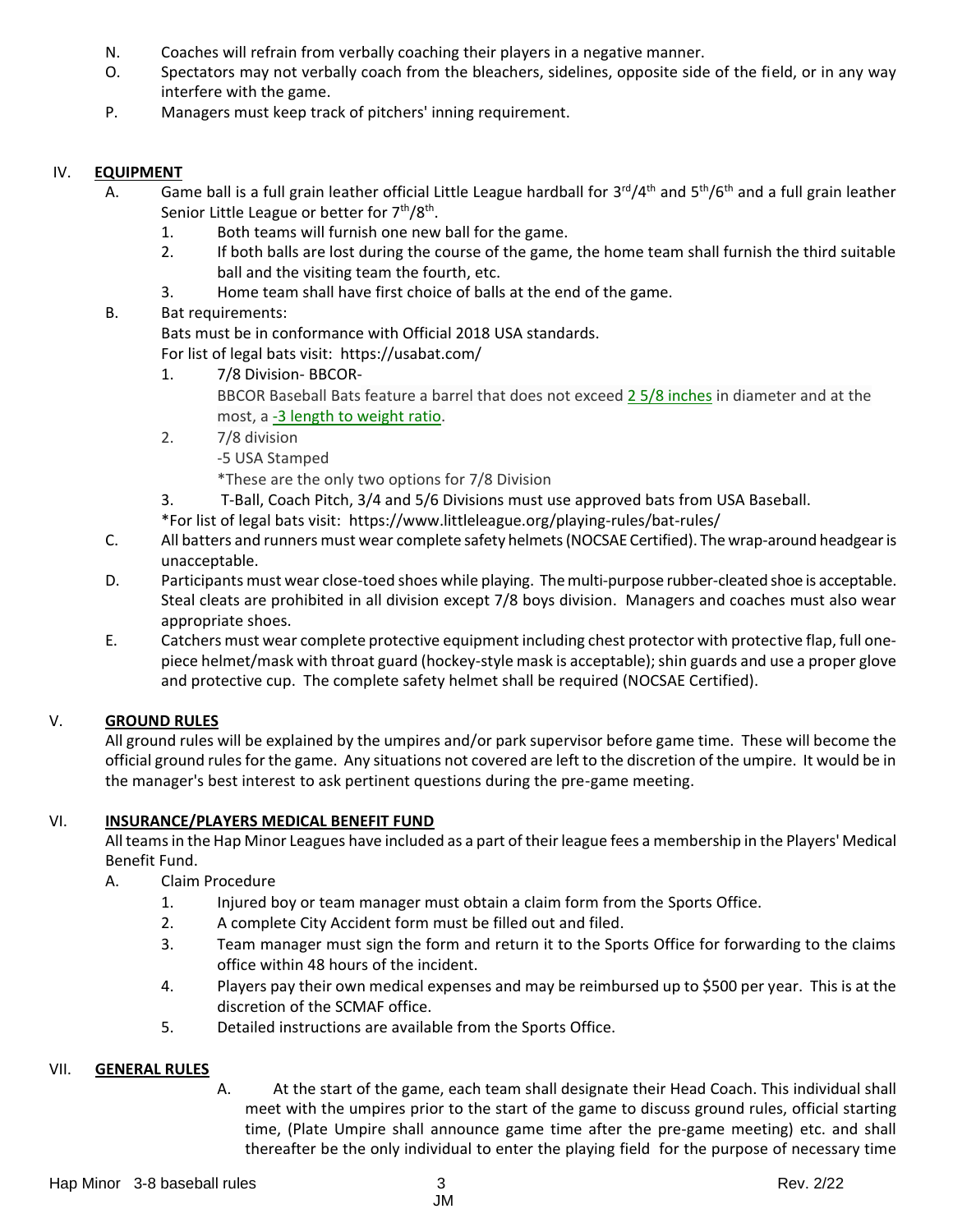- N. Coaches will refrain from verbally coaching their players in a negative manner.
- O. Spectators may not verbally coach from the bleachers, sidelines, opposite side of the field, or in any way interfere with the game.
- P. Managers must keep track of pitchers' inning requirement.

## IV. **EQUIPMENT**

- A. Game ball is a full grain leather official Little League hardball for 3<sup>rd</sup>/4<sup>th</sup> and 5<sup>th</sup>/6<sup>th</sup> and a full grain leather Senior Little League or better for 7<sup>th</sup>/8<sup>th</sup>.
	- 1. Both teams will furnish one new ball for the game.
	- 2. If both balls are lost during the course of the game, the home team shall furnish the third suitable ball and the visiting team the fourth, etc.
	- 3. Home team shall have first choice of balls at the end of the game.

# B. Bat requirements:

Bats must be in conformance with Official 2018 USA standards.

For list of legal bats visit: https://usabat.com/

- 1. 7/8 Division- BBCOR-BBCOR Baseball Bats feature a barrel that does not exceed 2 5/8 [inches](http://www.justbats.com/products/barrel%20diameter~2%205-8/) in diameter and at the most, a -3 length to [weight](http://www.justbats.com/products/length%20to%20weight%20ratio~-%203/) ratio.
- 2. 7/8 division -5 USA Stamped

\*These are the only two options for 7/8 Division

- 3. T-Ball, Coach Pitch, 3/4 and 5/6 Divisions must use approved bats from USA Baseball.
- \*For list of legal bats visit: https://www.littleleague.org/playing-rules/bat-rules/
- C. All batters and runners must wear complete safety helmets (NOCSAE Certified). The wrap-around headgear is unacceptable.
- D. Participants must wear close-toed shoes while playing. The multi-purpose rubber-cleated shoe is acceptable. Steal cleats are prohibited in all division except 7/8 boys division. Managers and coaches must also wear appropriate shoes.
- E. Catchers must wear complete protective equipment including chest protector with protective flap, full onepiece helmet/mask with throat guard (hockey-style mask is acceptable); shin guards and use a proper glove and protective cup. The complete safety helmet shall be required (NOCSAE Certified).

# V. **GROUND RULES**

All ground rules will be explained by the umpires and/or park supervisor before game time. These will become the official ground rules for the game. Any situations not covered are left to the discretion of the umpire. It would be in the manager's best interest to ask pertinent questions during the pre-game meeting.

## VI. **INSURANCE/PLAYERS MEDICAL BENEFIT FUND**

All teams in the Hap Minor Leagues have included as a part of their league fees a membership in the Players' Medical Benefit Fund.

- A. Claim Procedure
	- 1. Injured boy or team manager must obtain a claim form from the Sports Office.
	- 2. A complete City Accident form must be filled out and filed.
	- 3. Team manager must sign the form and return it to the Sports Office for forwarding to the claims office within 48 hours of the incident.
	- 4. Players pay their own medical expenses and may be reimbursed up to \$500 per year. This is at the discretion of the SCMAF office.
	- 5. Detailed instructions are available from the Sports Office.

## VII. **GENERAL RULES**

A. At the start of the game, each team shall designate their Head Coach. This individual shall meet with the umpires prior to the start of the game to discuss ground rules, official starting time, (Plate Umpire shall announce game time after the pre-game meeting) etc. and shall thereafter be the only individual to enter the playing field for the purpose of necessary time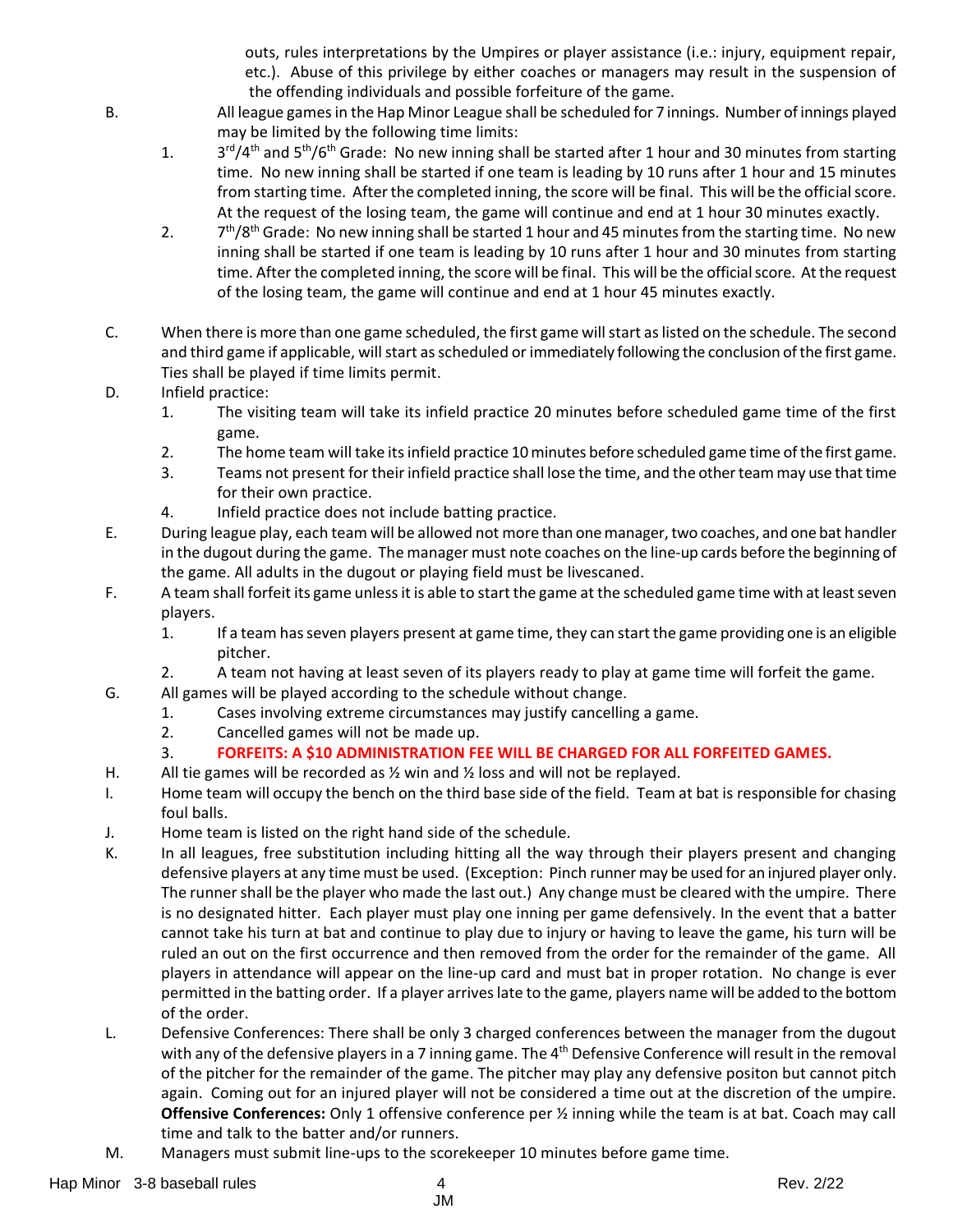outs, rules interpretations by the Umpires or player assistance (i.e.: injury, equipment repair, etc.). Abuse of this privilege by either coaches or managers may result in the suspension of the offending individuals and possible forfeiture of the game.

- B. All league games in the Hap Minor League shall be scheduled for 7 innings. Number of innings played may be limited by the following time limits:
	- $1.$ <sup>rd</sup>/4<sup>th</sup> and 5<sup>th</sup>/6<sup>th</sup> Grade: No new inning shall be started after 1 hour and 30 minutes from starting time. No new inning shall be started if one team is leading by 10 runs after 1 hour and 15 minutes from starting time. After the completed inning, the score will be final. This will be the official score. At the request of the losing team, the game will continue and end at 1 hour 30 minutes exactly.
	- $2.$  $7<sup>th</sup>/8<sup>th</sup>$  Grade: No new inning shall be started 1 hour and 45 minutes from the starting time. No new inning shall be started if one team is leading by 10 runs after 1 hour and 30 minutes from starting time. After the completed inning, the score will be final. This will be the official score. At the request of the losing team, the game will continue and end at 1 hour 45 minutes exactly.
- C. When there is more than one game scheduled, the first game will start as listed on the schedule. The second and third game if applicable, will start as scheduled or immediately following the conclusion of the first game. Ties shall be played if time limits permit.
- D. Infield practice:
	- 1. The visiting team will take its infield practice 20 minutes before scheduled game time of the first game.
	- 2. The home team will take its infield practice 10 minutes before scheduled game time of the first game.
	- 3. Teams not present for their infield practice shall lose the time, and the other team may use that time for their own practice.
	- 4. Infield practice does not include batting practice.
- E. During league play, each team will be allowed not more than one manager, two coaches, and one bat handler in the dugout during the game. The manager must note coaches on the line-up cards before the beginning of the game. All adults in the dugout or playing field must be livescaned.
- F. A team shall forfeit its game unless it is able to start the game at the scheduled game time with at least seven players.
	- 1. If a team has seven players present at game time, they can start the game providing one is an eligible pitcher.
	- 2. A team not having at least seven of its players ready to play at game time will forfeit the game.
- G. All games will be played according to the schedule without change.
	- 1. Cases involving extreme circumstances may justify cancelling a game.
		- 2. Cancelled games will not be made up.
		- 3. **FORFEITS: A \$10 ADMINISTRATION FEE WILL BE CHARGED FOR ALL FORFEITED GAMES.**
- H. All tie games will be recorded as  $\frac{1}{2}$  win and  $\frac{1}{2}$  loss and will not be replayed.
- I. Home team will occupy the bench on the third base side of the field. Team at bat is responsible for chasing foul balls.
- J. Home team is listed on the right hand side of the schedule.
- K. In all leagues, free substitution including hitting all the way through their players present and changing defensive players at any time must be used. (Exception: Pinch runner may be used for an injured player only. The runner shall be the player who made the last out.) Any change must be cleared with the umpire. There is no designated hitter. Each player must play one inning per game defensively. In the event that a batter cannot take his turn at bat and continue to play due to injury or having to leave the game, his turn will be ruled an out on the first occurrence and then removed from the order for the remainder of the game. All players in attendance will appear on the line-up card and must bat in proper rotation. No change is ever permitted in the batting order. If a player arriveslate to the game, players name will be added to the bottom of the order.
- L. Defensive Conferences: There shall be only 3 charged conferences between the manager from the dugout with any of the defensive players in a 7 inning game. The 4<sup>th</sup> Defensive Conference will result in the removal of the pitcher for the remainder of the game. The pitcher may play any defensive positon but cannot pitch again. Coming out for an injured player will not be considered a time out at the discretion of the umpire. **Offensive Conferences:** Only 1 offensive conference per ½ inning while the team is at bat. Coach may call time and talk to the batter and/or runners.
- M. Managers must submit line-ups to the scorekeeper 10 minutes before game time.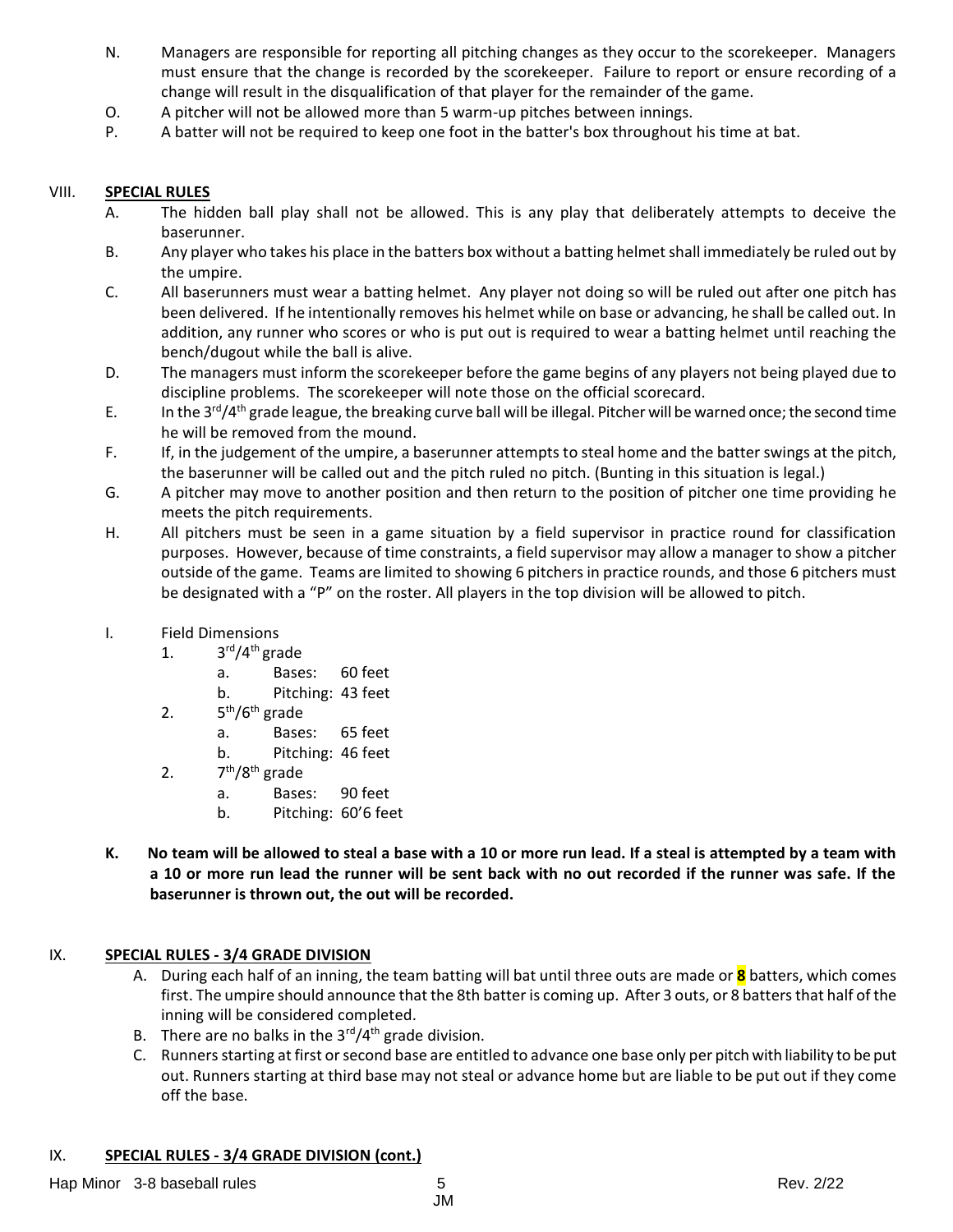- N. Managers are responsible for reporting all pitching changes as they occur to the scorekeeper. Managers must ensure that the change is recorded by the scorekeeper. Failure to report or ensure recording of a change will result in the disqualification of that player for the remainder of the game.
- O. A pitcher will not be allowed more than 5 warm-up pitches between innings.
- P. A batter will not be required to keep one foot in the batter's box throughout his time at bat.

#### VIII. **SPECIAL RULES**

- A. The hidden ball play shall not be allowed. This is any play that deliberately attempts to deceive the baserunner.
- B. Any player who takes his place in the batters box without a batting helmet shall immediately be ruled out by the umpire.
- C. All baserunners must wear a batting helmet. Any player not doing so will be ruled out after one pitch has been delivered. If he intentionally removes his helmet while on base or advancing, he shall be called out. In addition, any runner who scores or who is put out is required to wear a batting helmet until reaching the bench/dugout while the ball is alive.
- D. The managers must inform the scorekeeper before the game begins of any players not being played due to discipline problems. The scorekeeper will note those on the official scorecard.
- E. In the 3<sup>rd</sup>/4<sup>th</sup> grade league, the breaking curve ball will be illegal. Pitcher will be warned once; the second time he will be removed from the mound.
	- F. If, in the judgement of the umpire, a baserunner attempts to steal home and the batter swings at the pitch, the baserunner will be called out and the pitch ruled no pitch. (Bunting in this situation is legal.)
	- G. A pitcher may move to another position and then return to the position of pitcher one time providing he meets the pitch requirements.
	- H. All pitchers must be seen in a game situation by a field supervisor in practice round for classification purposes. However, because of time constraints, a field supervisor may allow a manager to show a pitcher outside of the game. Teams are limited to showing 6 pitchers in practice rounds, and those 6 pitchers must be designated with a "P" on the roster. All players in the top division will be allowed to pitch.
	- I. Field Dimensions
		- 1. 3<sup>rd</sup>/4<sup>th</sup> grade
			- a. Bases: 60 feet
			- b. Pitching: 43 feet
		- $2.5$  $5<sup>th</sup>/6<sup>th</sup>$  grade
			- a. Bases: 65 feet
			- b. Pitching: 46 feet
		- $2.$ 7<sup>th</sup>/8<sup>th</sup> grade
			- a. Bases: 90 feet
			- b. Pitching: 60'6 feet
	- **K. No team will be allowed to steal a base with a 10 or more run lead. If a steal is attempted by a team with a 10 or more run lead the runner will be sent back with no out recorded if the runner was safe. If the baserunner is thrown out, the out will be recorded.**

## IX. **SPECIAL RULES - 3/4 GRADE DIVISION**

- A. During each half of an inning, the team batting will bat until three outs are made or **8** batters, which comes first. The umpire should announce that the 8th batter is coming up. After 3 outs, or 8 batters that half of the inning will be considered completed.
- B. There are no balks in the  $3<sup>rd</sup>/4<sup>th</sup>$  grade division.
- C. Runners starting at first or second base are entitled to advance one base only per pitch with liability to be put out. Runners starting at third base may not steal or advance home but are liable to be put out if they come off the base.

#### IX. **SPECIAL RULES - 3/4 GRADE DIVISION (cont.)**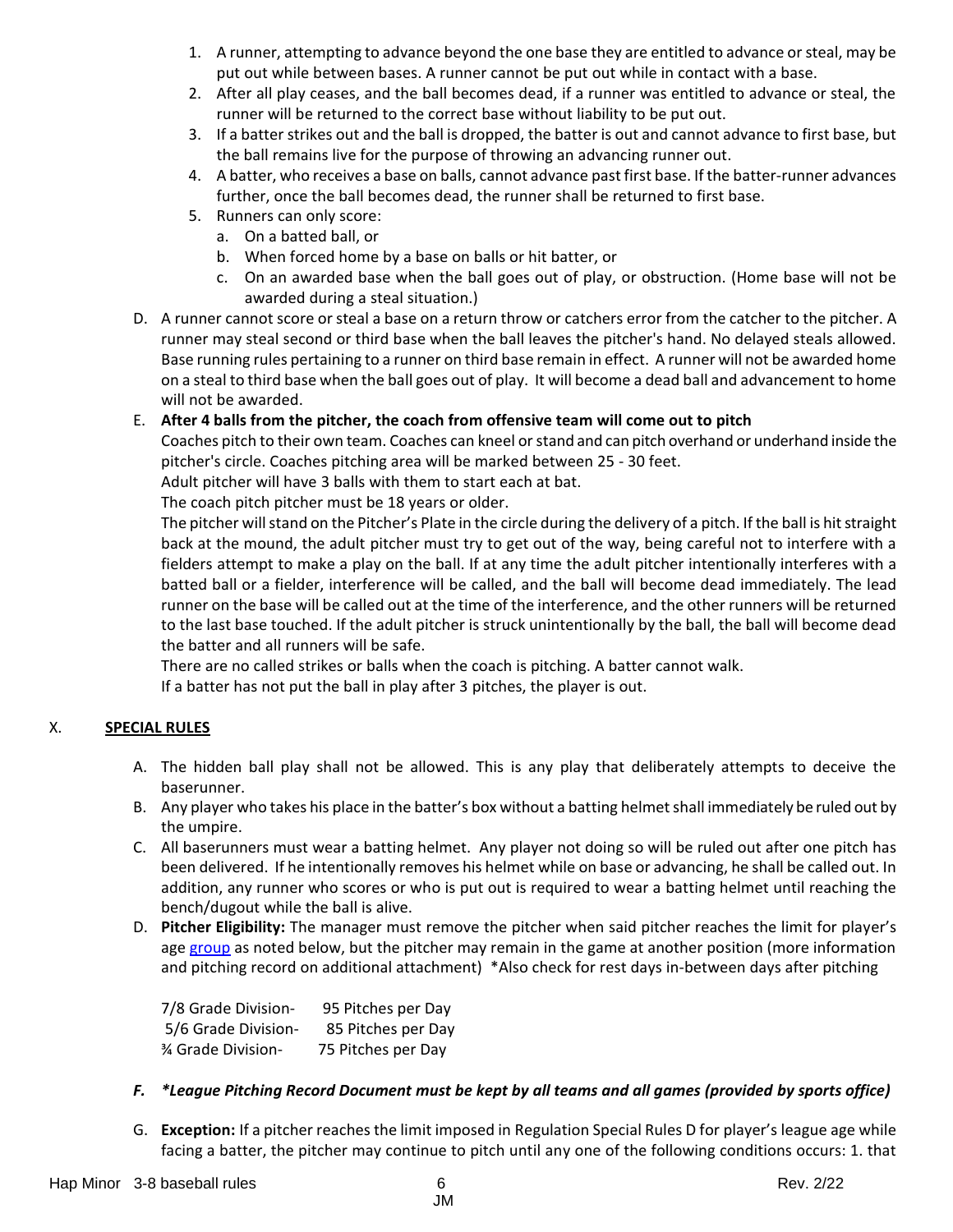- 1. A runner, attempting to advance beyond the one base they are entitled to advance or steal, may be put out while between bases. A runner cannot be put out while in contact with a base.
- 2. After all play ceases, and the ball becomes dead, if a runner was entitled to advance or steal, the runner will be returned to the correct base without liability to be put out.
- 3. If a batter strikes out and the ball is dropped, the batter is out and cannot advance to first base, but the ball remains live for the purpose of throwing an advancing runner out.
- 4. A batter, who receives a base on balls, cannot advance past first base. If the batter-runner advances further, once the ball becomes dead, the runner shall be returned to first base.
- 5. Runners can only score:
	- a. On a batted ball, or
	- b. When forced home by a base on balls or hit batter, or
	- c. On an awarded base when the ball goes out of play, or obstruction. (Home base will not be awarded during a steal situation.)
- D. A runner cannot score or steal a base on a return throw or catchers error from the catcher to the pitcher. A runner may steal second or third base when the ball leaves the pitcher's hand. No delayed steals allowed. Base running rules pertaining to a runner on third base remain in effect. A runner will not be awarded home on a steal to third base when the ball goes out of play. It will become a dead ball and advancement to home will not be awarded.

## E. **After 4 balls from the pitcher, the coach from offensive team will come out to pitch**

Coaches pitch to their own team. Coaches can kneel or stand and can pitch overhand or underhand inside the pitcher's circle. Coaches pitching area will be marked between 25 - 30 feet.

Adult pitcher will have 3 balls with them to start each at bat.

The coach pitch pitcher must be 18 years or older.

The pitcher will stand on the Pitcher's Plate in the circle during the delivery of a pitch. If the ball is hit straight back at the mound, the adult pitcher must try to get out of the way, being careful not to interfere with a fielders attempt to make a play on the ball. If at any time the adult pitcher intentionally interferes with a batted ball or a fielder, interference will be called, and the ball will become dead immediately. The lead runner on the base will be called out at the time of the interference, and the other runners will be returned to the last base touched. If the adult pitcher is struck unintentionally by the ball, the ball will become dead the batter and all runners will be safe.

There are no called strikes or balls when the coach is pitching. A batter cannot walk. If a batter has not put the ball in play after 3 pitches, the player is out.

# X. **SPECIAL RULES**

- A. The hidden ball play shall not be allowed. This is any play that deliberately attempts to deceive the baserunner.
- B. Any player who takes his place in the batter's box without a batting helmet shall immediately be ruled out by the umpire.
- C. All baserunners must wear a batting helmet. Any player not doing so will be ruled out after one pitch has been delivered. If he intentionally removes his helmet while on base or advancing, he shall be called out. In addition, any runner who scores or who is put out is required to wear a batting helmet until reaching the bench/dugout while the ball is alive.
- D. **Pitcher Eligibility:** The manager must remove the pitcher when said pitcher reaches the limit for player's age [group](https://www.littleleague.org/playing-rules/pitch-count/) as noted below, but the pitcher may remain in the game at another position (more information and pitching record on additional attachment) \*Also check for rest days in-between days after pitching

| 7/8 Grade Division-      | 95 Pitches per Day |
|--------------------------|--------------------|
| 5/6 Grade Division-      | 85 Pitches per Day |
| <b>% Grade Division-</b> | 75 Pitches per Day |

## *F. \*League Pitching Record Document must be kept by all teams and all games (provided by sports office)*

G. **Exception:** If a pitcher reaches the limit imposed in Regulation Special Rules D for player's league age while facing a batter, the pitcher may continue to pitch until any one of the following conditions occurs: 1. that